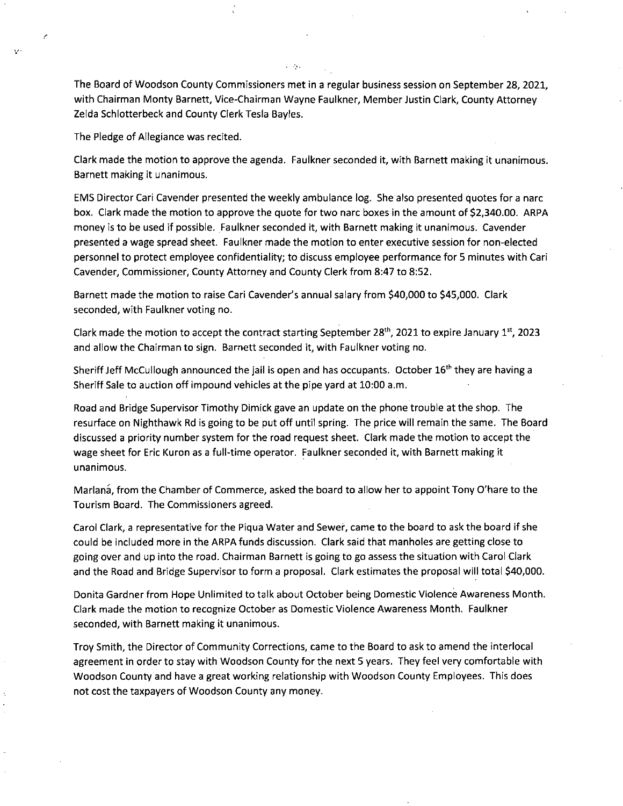The Board of Woodson County Commissioners met in a regular business session on September 28, 2021, with Chairman Monty Barnett, Vice-Chairman Wayne Faulkner, Member Justin Clark, County Attorney Zelda Schlotterbeck and County Clerk Tesla Bayles.

The Pledge of Allegiance was recited.

Clark made the motion to approve the agenda. Faulkner seconded it, with Barnett making it unanimous. Barnett making it unanimous.

EMS Director Cari Cavender presented the weekly ambulance log. She also presented quotes for a narc box. Clark made the motion to approve the quote for two narc boxes in the amount of \$2,340.00. ARPA money is to be used if possible. Faulkner seconded it, with Barnett making it unanimous. Cavender presented a wage spread sheet. Faulkner made the motion to enter executive session for non-elected personnel to protect employee confidentiality; to discuss employee performance for 5 minutes with Can Cavender, Commissioner, County Attorney and County Clerk from 8:47 to 8:52.

Barnett made the motion to raise Cari Cavender's annual salary from \$40,000 to \$45,000. Clark seconded, with Faulkner voting no.

Clark made the motion to accept the contract starting September 28<sup>th</sup>, 2021 to expire January 1<sup>st</sup>, 2023 and allow the Chairman to sign. Barnett seconded it, with Faulkner voting no.

Sheriff Jeff McCullough announced the jail is open and has occupants. October 16<sup>th</sup> they are having a Sheriff Sale to auction off impound vehicles at the pipe yard at 10:00 a.m.

Road and Bridge Supervisor Timothy Dimick gave an update on the phone trouble at the shop. The resurface on Nighthawk Rd is going to be put off until spring. The price will remain the same. The Board discussed a priority number system for the road request sheet. Clark made the motion to accept the wage sheet for Eric Kuron as a full-time operator. Faulkner seconded it, with Barnett making it unanimous.

Marlana, from the Chamber of Commerce, asked the board to allow her to appoint Tony O'hare to the Tourism Board. The Commissioners agreed.

Carol Clark, a representative for the Piqua Water and Sewer, came to the board to ask the board if she could be included more in the ARPA funds discussion. Clark said that manholes are getting close to going over and up into the road. Chairman Barnett is going to go assess the situation with Carol Clark and the Road and Bridge Supervisor to form a proposal. Clark estimates the proposal will total \$40,000.

Donita Gardner from Hope Unlimited to talk about October being Domestic Violence Awareness Month. Clark made the motion to recognize October as Domestic Violence Awareness Month. Faulkner seconded, with Barnett making it unanimous.

Troy Smith, the Director of Community Corrections, came to the Board to ask to amend the interlocal agreement in order to stay with Woodson County for the next 5 years. They feel very comfortable with Woodson County and have a great working relationship with Woodson County Employees. This does not cost the taxpayers of Woodson County any money.